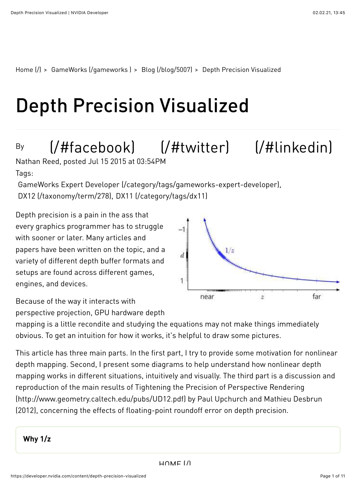[Home \(/\)](https://developer.nvidia.com/) > [GameWorks \(/gameworks \)](https://developer.nvidia.com/gameworks) > [Blog \(/blog/5007\)](https://developer.nvidia.com/blog/5007) > Depth Precision Visualized

# Depth Precision Visualized

### By

## [\(/#facebook\)](https://developer.nvidia.com/%23facebook) [\(/#twitter\)](https://developer.nvidia.com/%23twitter) [\(/#linkedin\)](https://developer.nvidia.com/%23linkedin)

Tags: Nathan Reed, posted Jul 15 2015 at 03:54PM

[GameWorks Expert Developer \(/category/tags/gameworks-expert-developer\),](https://developer.nvidia.com/category/tags/gameworks-expert-developer) [DX12 \(/taxonomy/term/278\)](https://developer.nvidia.com/taxonomy/term/278), [DX11 \(/category/tags/dx11\)](https://developer.nvidia.com/category/tags/dx11)

Depth precision is a pain in the ass that every graphics programmer has to struggle with sooner or later. Many articles and papers have been written on the topic, and a variety of different depth buffer formats and setups are found across different games, engines, and devices.



Because of the way it interacts with perspective projection, GPU hardware depth

mapping is a little recondite and studying the equations may not make things immediately obvious. To get an intuition for how it works, it's helpful to draw some pictures.

This article has three main parts. In the first part, I try to provide some motivation for nonlinear depth mapping. Second, I present some diagrams to help understand how nonlinear depth mapping works in different situations, intuitively and visually. The third part is a discussion and reproduction of the main results of Tightening the Precision of Perspective Rendering [\(http://www.geometry.caltech.edu/pubs/UD12.pdf\) by Paul Upchurch and Mathieu Des](http://www.geometry.caltech.edu/pubs/UD12.pdf)brun (2012), concerning the effects of floating-point roundoff error on depth precision.

#### Why 1/z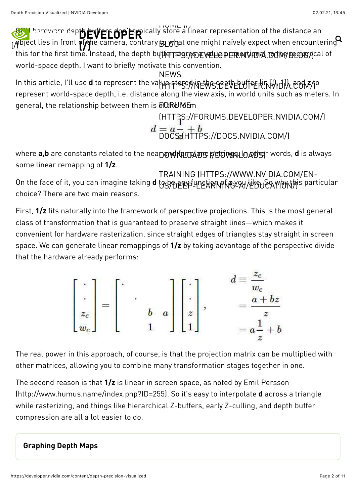GPU hardware depth buffers don't typica[lly store a lin](https://developer.nvidia.com/)ear representation of the distance an  $\rho$ bject lies in front  $\bm q$ f $\bm r$ he camera, contrary  $\bm p$   $\bm g$ bat one might naïvely expect when encountering this for the first time. Instead, the depth bųpfqrt\$grpppev电LOPEPR.NVIDIA.COMPBLOGYCal of world-space depth. I want to briefly motivate this convention. [DEVELOPER](https://developer.nvidia.com/)  $\bm{v}$ וויטום<br>קע⊨ייני து குடு  $\alpha$  one might naïvely expect when encountering  $\alpha$ 

In this article, I'll use **d** to represent the val<del>µη sto</del>ce,hinEWS.BEVELUf&EH.NVIDIA.COM//0 represent world-space depth, i.e. distance along the view axis, in world units such as meters. In general, the relationship between them is  $\rm\overline{b}$ QRUMS $\rm\overline{m}$ NEWS

> [\(HTTPS://FORUMS.DEVELOPER.NVIDIA.COM/\)](https://forums.developer.nvidia.com/) [DOCS \(HTTPS://DOCS.NVIDIA.COM/\)](https://docs.nvidia.com/)

where **a,b** are constants related to the nea**Ŋ@\\KE@\@\$@@@\$@\@\$\@@\@@**#r words, **d** is always some linear remapping of 1/z.

On the face of it, you can imagine taking **d** tgاre的包含的 the any the beam articular choice? There are two main reasons. [TRAINING \(HTTPS://WWW.NVIDIA.COM/EN-](https://www.nvidia.com/en-us/deep-learning-ai/education/)

First, 1/z fits naturally into the framework of perspective projections. This is the most general class of transformation that is guaranteed to preserve straight lines—which makes it convenient for hardware rasterization, since straight edges of triangles stay straight in screen space. We can generate linear remappings of 1/z by taking advantage of the perspective divide that the hardware already performs:

$$
\begin{bmatrix} \cdot \\ \cdot \\ z_c \\ w_c \end{bmatrix} = \begin{bmatrix} \cdot & & & \\ & \cdot & & \\ & b & a \\ & & 1 & \end{bmatrix} \begin{bmatrix} \cdot \\ \cdot \\ z \\ 1 \end{bmatrix}, \qquad \begin{aligned} d &\equiv \frac{z_c}{w_c} \\ & = \frac{a + bz}{z} \\ & = a\frac{1}{z} + b \end{aligned}
$$

The real power in this approach, of course, is that the projection matrix can be multiplied with other matrices, allowing you to combine many transformation stages together in one.

The second reason is that  $1/z$  is linear in screen space, as noted by Emil Persson [\(http://www.humus.name/index.php?ID=255\). So it's easy to interpolate](http://www.humus.name/index.php?ID=255) d across a triangle while rasterizing, and things like hierarchical Z-buffers, early Z-culling, and depth buffer compression are all a lot easier to do.

#### Graphing Depth Maps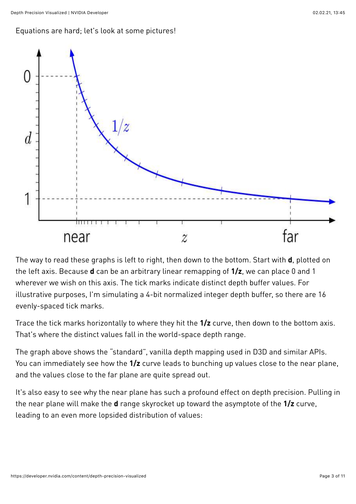#### Equations are hard; let's look at some pictures!



The way to read these graphs is left to right, then down to the bottom. Start with **d**, plotted on the left axis. Because **d** can be an arbitrary linear remapping of  $1/z$ , we can place 0 and 1 wherever we wish on this axis. The tick marks indicate distinct depth buffer values. For illustrative purposes, I'm simulating a 4-bit normalized integer depth buffer, so there are 16 evenly-spaced tick marks.

Trace the tick marks horizontally to where they hit the  $1/z$  curve, then down to the bottom axis. That's where the distinct values fall in the world-space depth range.

The graph above shows the "standard", vanilla depth mapping used in D3D and similar APIs. You can immediately see how the  $1/z$  curve leads to bunching up values close to the near plane, and the values close to the far plane are quite spread out.

It's also easy to see why the near plane has such a profound effect on depth precision. Pulling in the near plane will make the **d** range skyrocket up toward the asymptote of the 1/z curve, leading to an even more lopsided distribution of values: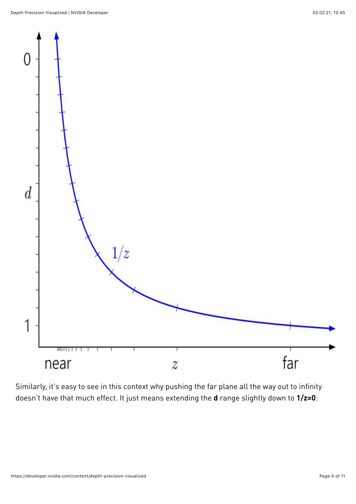

Similarly, it's easy to see in this context why pushing the far plane all the way out to infinity doesn't have that much effect. It just means extending the **d** range slightly down to  $1/z=0$ :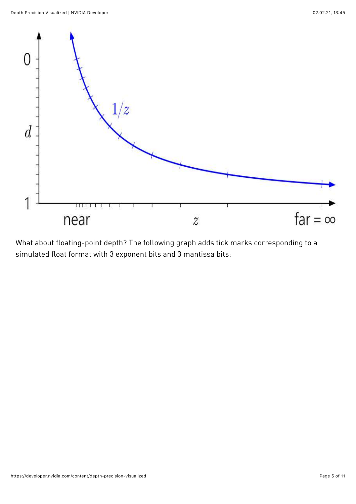

What about floating-point depth? The following graph adds tick marks corresponding to a simulated float format with 3 exponent bits and 3 mantissa bits: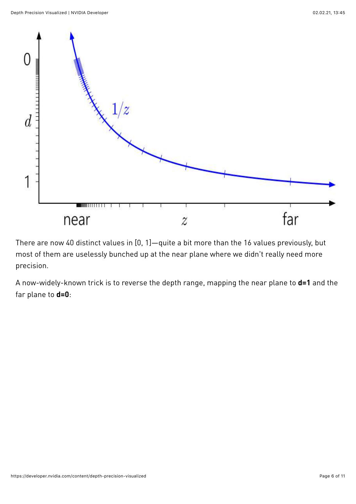

There are now 40 distinct values in [0, 1]—quite a bit more than the 16 values previously, but most of them are uselessly bunched up at the near plane where we didn't really need more precision.

A now-widely-known trick is to reverse the depth range, mapping the near plane to **d=1** and the far plane to  $d=0$ :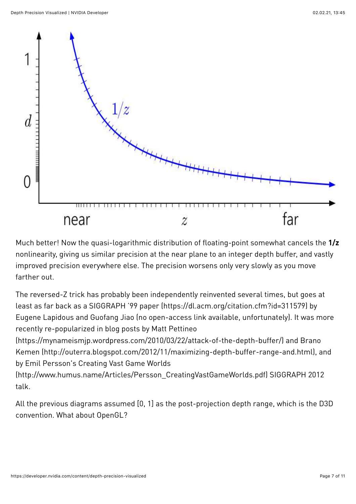

Much better! Now the quasi-logarithmic distribution of floating-point somewhat cancels the 1/z nonlinearity, giving us similar precision at the near plane to an integer depth buffer, and vastly improved precision everywhere else. The precision worsens only very slowly as you move farther out.

The reversed-Z trick has probably been independently reinvented several times, but goes at least as far back as [a SIGGRAPH '99 paper \(https://dl.acm.org/citation.cfm?id=311579\)](https://dl.acm.org/citation.cfm?id=311579) by Eugene Lapidous and Guofang Jiao (no open-access link available, unfortunately). It was more recently re-popularized in blog posts by Matt Pettineo

[\(https://mynameismjp.wordpress.com/2010/03/22/attack-of-the-depth-buffer/\)](https://mynameismjp.wordpress.com/2010/03/22/attack-of-the-depth-buffer/) and Brano [Kemen \(http://outerra.blogspot.com/2012/11/maximizing-depth-buffer-range-and.html\), a](http://outerra.blogspot.com/2012/11/maximizing-depth-buffer-range-and.html)nd by Emil Persson's Creating Vast Game Worlds

[\(http://www.humus.name/Articles/Persson\\_CreatingVastGameWorlds.pdf\)](http://www.humus.name/Articles/Persson_CreatingVastGameWorlds.pdf) SIGGRAPH 2012 talk.

All the previous diagrams assumed [0, 1] as the post-projection depth range, which is the D3D convention. What about OpenGL?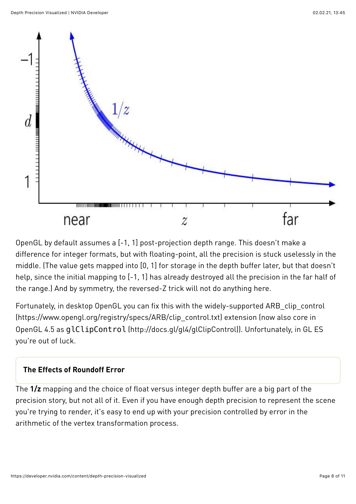

OpenGL by default assumes a [-1, 1] post-projection depth range. This doesn't make a difference for integer formats, but with floating-point, all the precision is stuck uselessly in the middle. (The value gets mapped into [0, 1] for storage in the depth buffer later, but that doesn't help, since the initial mapping to [-1, 1] has already destroyed all the precision in the far half of the range.) And by symmetry, the reversed-Z trick will not do anything here.

Fortunately, in desktop OpenGL you can fix this with the widely-supported ARB\_clip\_control [\(https://www.opengl.org/registry/specs/ARB/clip\\_control.txt\) extension \(now also core in](https://www.opengl.org/registry/specs/ARB/clip_control.txt) OpenGL 4.5 as glClipControl [\(http://docs.gl/gl4/glClipControl\)\)](http://docs.gl/gl4/glClipControl). Unfortunately, in GL ES you're out of luck.

#### The Effects of Roundoff Error

The 1/z mapping and the choice of float versus integer depth buffer are a big part of the precision story, but not all of it. Even if you have enough depth precision to represent the scene you're trying to render, it's easy to end up with your precision controlled by error in the arithmetic of the vertex transformation process.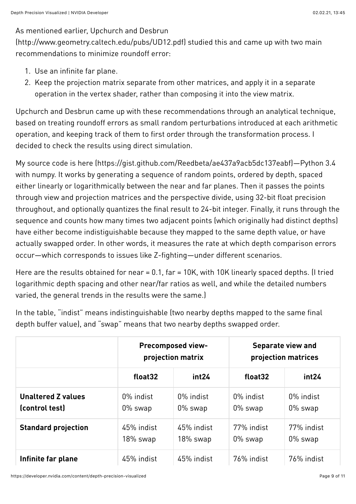#### As mentioned earlier, Upchurch and Desbrun

[\(http://www.geometry.caltech.edu/pubs/UD12.pdf\)](http://www.geometry.caltech.edu/pubs/UD12.pdf) studied this and came up with two main recommendations to minimize roundoff error:

- 1. Use an infinite far plane.
- 2. Keep the projection matrix separate from other matrices, and apply it in a separate operation in the vertex shader, rather than composing it into the view matrix.

Upchurch and Desbrun came up with these recommendations through an analytical technique, based on treating roundoff errors as small random perturbations introduced at each arithmetic operation, and keeping track of them to first order through the transformation process. I decided to check the results using direct simulation.

My [source code is here \(https://gist.github.com/Reedbeta/ae437a9acb5dc137eabf\)—](https://gist.github.com/Reedbeta/ae437a9acb5dc137eabf)Python 3.4 with numpy. It works by generating a sequence of random points, ordered by depth, spaced either linearly or logarithmically between the near and far planes. Then it passes the points through view and projection matrices and the perspective divide, using 32-bit float precision throughout, and optionally quantizes the final result to 24-bit integer. Finally, it runs through the sequence and counts how many times two adjacent points (which originally had distinct depths) have either become indistiguishable because they mapped to the same depth value, or have actually swapped order. In other words, it measures the rate at which depth comparison errors occur—which corresponds to issues like Z-fighting—under different scenarios.

Here are the results obtained for near = 0.1, far = 10K, with 10K linearly spaced depths. (I tried logarithmic depth spacing and other near/far ratios as well, and while the detailed numbers varied, the general trends in the results were the same.)

In the table, "indist" means indistinguishable (two nearby depths mapped to the same final depth buffer value), and "swap" means that two nearby depths swapped order.

|                                             | <b>Precomposed view-</b><br>projection matrix |                         | Separate view and<br>projection matrices |                          |
|---------------------------------------------|-----------------------------------------------|-------------------------|------------------------------------------|--------------------------|
|                                             | float32                                       | int24                   | float32                                  | int24                    |
| <b>Unaltered Z values</b><br>(control test) | 0% indist<br>$0\%$ swap                       | 0% indist<br>$0\%$ swap | 0% indist<br>0% swap                     | 0% indist<br>$0\%$ swap  |
| <b>Standard projection</b>                  | 45% indist<br>18% swap                        | 45% indist<br>18% swap  | 77% indist<br>0% swap                    | 77% indist<br>$0\%$ swap |
| Infinite far plane                          | 45% indist                                    | 45% indist              | 76% indist                               | 76% indist               |

https://developer.nvidia.com/content/depth-precision-visualized Page 9 of 11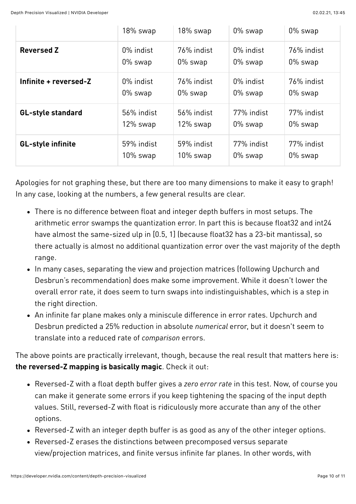|                          | 18% swap    | 18% swap    | 0% swap    | 0% swap    |
|--------------------------|-------------|-------------|------------|------------|
| <b>Reversed Z</b>        | 0% indist   | 76% indist  | 0% indist  | 76% indist |
|                          | $0\%$ swap  | $0\%$ swap  | $0\%$ swap | $0\%$ swap |
| Infinite + reversed-Z    | 0% indist   | 76% indist  | 0% indist  | 76% indist |
|                          | $0\%$ swap  | $0\%$ swap  | $0\%$ swap | 0% swap    |
| <b>GL-style standard</b> | 56% indist  | 56% indist  | 77% indist | 77% indist |
|                          | $12\%$ swap | 12% swap    | 0% swap    | 0% swap    |
| <b>GL-style infinite</b> | 59% indist  | 59% indist  | 77% indist | 77% indist |
|                          | $10\%$ swap | $10\%$ swap | 0% swap    | 0% swap    |

Apologies for not graphing these, but there are too many dimensions to make it easy to graph! In any case, looking at the numbers, a few general results are clear.

- There is no difference between float and integer depth buffers in most setups. The arithmetic error swamps the quantization error. In part this is because float32 and int24 have almost the same-sized ulp in [0.5, 1] (because float32 has a 23-bit mantissa), so there actually is almost no additional quantization error over the vast majority of the depth range.
- In many cases, separating the view and projection matrices (following Upchurch and Desbrun's recommendation) does make some improvement. While it doesn't lower the overall error rate, it does seem to turn swaps into indistinguishables, which is a step in the right direction.
- An infinite far plane makes only a miniscule difference in error rates. Upchurch and Desbrun predicted a 25% reduction in absolute numerical error, but it doesn't seem to translate into a reduced rate of comparison errors.

The above points are practically irrelevant, though, because the real result that matters here is: the reversed-Z mapping is basically magic. Check it out:

- Reversed-Z with a float depth buffer gives a zero error rate in this test. Now, of course you can make it generate some errors if you keep tightening the spacing of the input depth values. Still, reversed-Z with float is ridiculously more accurate than any of the other options.
- Reversed-Z with an integer depth buffer is as good as any of the other integer options.
- Reversed-Z erases the distinctions between precomposed versus separate view/projection matrices, and finite versus infinite far planes. In other words, with